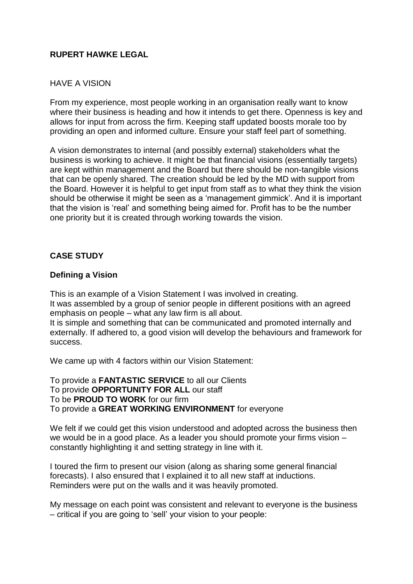## **RUPERT HAWKE LEGAL**

## HAVE A VISION

From my experience, most people working in an organisation really want to know where their business is heading and how it intends to get there. Openness is key and allows for input from across the firm. Keeping staff updated boosts morale too by providing an open and informed culture. Ensure your staff feel part of something.

A vision demonstrates to internal (and possibly external) stakeholders what the business is working to achieve. It might be that financial visions (essentially targets) are kept within management and the Board but there should be non-tangible visions that can be openly shared. The creation should be led by the MD with support from the Board. However it is helpful to get input from staff as to what they think the vision should be otherwise it might be seen as a 'management gimmick'. And it is important that the vision is 'real' and something being aimed for. Profit has to be the number one priority but it is created through working towards the vision.

## **CASE STUDY**

## **Defining a Vision**

This is an example of a Vision Statement I was involved in creating. It was assembled by a group of senior people in different positions with an agreed emphasis on people – what any law firm is all about. It is simple and something that can be communicated and promoted internally and externally. If adhered to, a good vision will develop the behaviours and framework for success.

We came up with 4 factors within our Vision Statement:

To provide a **FANTASTIC SERVICE** to all our Clients To provide **OPPORTUNITY FOR ALL** our staff To be **PROUD TO WORK** for our firm To provide a **GREAT WORKING ENVIRONMENT** for everyone

We felt if we could get this vision understood and adopted across the business then we would be in a good place. As a leader you should promote your firms vision – constantly highlighting it and setting strategy in line with it.

I toured the firm to present our vision (along as sharing some general financial forecasts). I also ensured that I explained it to all new staff at inductions. Reminders were put on the walls and it was heavily promoted.

My message on each point was consistent and relevant to everyone is the business – critical if you are going to 'sell' your vision to your people: